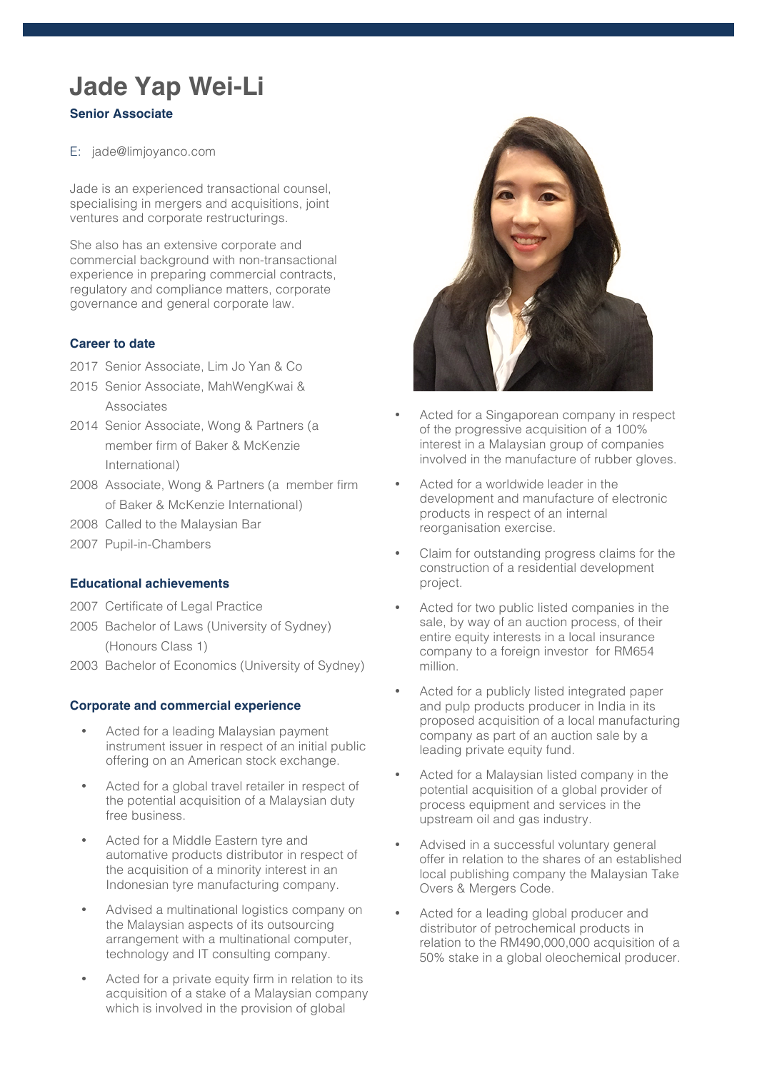# **Jade Yap Wei-Li**

## **Senior Associate**

E: jade@limjoyanco.com

Jade is an experienced transactional counsel, specialising in mergers and acquisitions, joint ventures and corporate restructurings.

She also has an extensive corporate and commercial background with non-transactional experience in preparing commercial contracts, regulatory and compliance matters, corporate governance and general corporate law.

### **Career to date**

- 2017 Senior Associate, Lim Jo Yan & Co
- 2015 Senior Associate, MahWengKwai & Associates
- 2014 Senior Associate, Wong & Partners (a member firm of Baker & McKenzie International)
- 2008 Associate, Wong & Partners (a member firm of Baker & McKenzie International)
- 2008 Called to the Malaysian Bar
- 2007 Pupil-in-Chambers

#### **Educational achievements**

- 2007 Certificate of Legal Practice
- 2005 Bachelor of Laws (University of Sydney) (Honours Class 1)
- 2003 Bachelor of Economics (University of Sydney)

#### **Corporate and commercial experience**

- Acted for a leading Malaysian payment instrument issuer in respect of an initial public offering on an American stock exchange.
- Acted for a global travel retailer in respect of the potential acquisition of a Malaysian duty free business.
- Acted for a Middle Eastern tyre and automative products distributor in respect of the acquisition of a minority interest in an Indonesian tyre manufacturing company.
- Advised a multinational logistics company on the Malaysian aspects of its outsourcing arrangement with a multinational computer, technology and IT consulting company.
- Acted for a private equity firm in relation to its acquisition of a stake of a Malaysian company which is involved in the provision of global



- Acted for a Singaporean company in respect of the progressive acquisition of a 100% interest in a Malaysian group of companies involved in the manufacture of rubber gloves.
- Acted for a worldwide leader in the development and manufacture of electronic products in respect of an internal reorganisation exercise.
- Claim for outstanding progress claims for the construction of a residential development project.
- Acted for two public listed companies in the sale, by way of an auction process, of their entire equity interests in a local insurance company to a foreign investor for RM654 million.
- Acted for a publicly listed integrated paper and pulp products producer in India in its proposed acquisition of a local manufacturing company as part of an auction sale by a leading private equity fund.
- Acted for a Malaysian listed company in the potential acquisition of a global provider of process equipment and services in the upstream oil and gas industry.
- Advised in a successful voluntary general offer in relation to the shares of an established local publishing company the Malaysian Take Overs & Mergers Code.
- Acted for a leading global producer and distributor of petrochemical products in relation to the RM490,000,000 acquisition of a 50% stake in a global oleochemical producer.